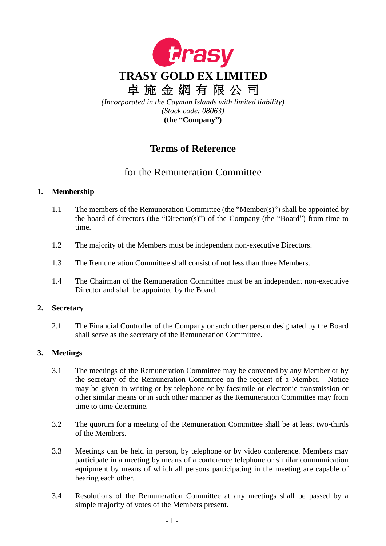

# **Terms of Reference**

## for the Remuneration Committee

## **1. Membership**

- 1.1 The members of the Remuneration Committee (the "Member(s)") shall be appointed by the board of directors (the "Director(s)") of the Company (the "Board") from time to time.
- 1.2 The majority of the Members must be independent non-executive Directors.
- 1.3 The Remuneration Committee shall consist of not less than three Members.
- 1.4 The Chairman of the Remuneration Committee must be an independent non-executive Director and shall be appointed by the Board.

## **2. Secretary**

2.1 The Financial Controller of the Company or such other person designated by the Board shall serve as the secretary of the Remuneration Committee.

## **3. Meetings**

- 3.1 The meetings of the Remuneration Committee may be convened by any Member or by the secretary of the Remuneration Committee on the request of a Member. Notice may be given in writing or by telephone or by facsimile or electronic transmission or other similar means or in such other manner as the Remuneration Committee may from time to time determine.
- 3.2 The quorum for a meeting of the Remuneration Committee shall be at least two-thirds of the Members.
- 3.3 Meetings can be held in person, by telephone or by video conference. Members may participate in a meeting by means of a conference telephone or similar communication equipment by means of which all persons participating in the meeting are capable of hearing each other.
- 3.4 Resolutions of the Remuneration Committee at any meetings shall be passed by a simple majority of votes of the Members present.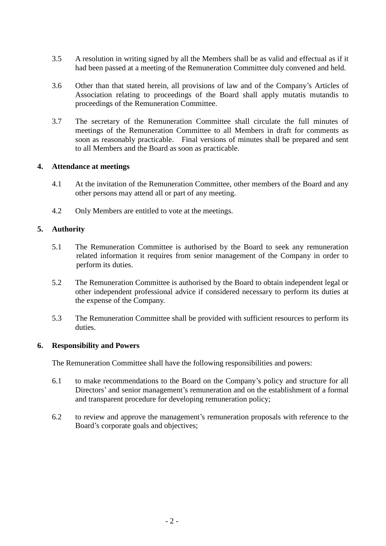- 3.5 A resolution in writing signed by all the Members shall be as valid and effectual as if it had been passed at a meeting of the Remuneration Committee duly convened and held.
- 3.6 Other than that stated herein, all provisions of law and of the Company's Articles of Association relating to proceedings of the Board shall apply mutatis mutandis to proceedings of the Remuneration Committee.
- 3.7 The secretary of the Remuneration Committee shall circulate the full minutes of meetings of the Remuneration Committee to all Members in draft for comments as soon as reasonably practicable. Final versions of minutes shall be prepared and sent to all Members and the Board as soon as practicable.

#### **4. Attendance at meetings**

- 4.1 At the invitation of the Remuneration Committee, other members of the Board and any other persons may attend all or part of any meeting.
- 4.2 Only Members are entitled to vote at the meetings.

#### **5. Authority**

- 5.1 The Remuneration Committee is authorised by the Board to seek any remuneration related information it requires from senior management of the Company in order to perform its duties.
- 5.2 The Remuneration Committee is authorised by the Board to obtain independent legal or other independent professional advice if considered necessary to perform its duties at the expense of the Company.
- 5.3 The Remuneration Committee shall be provided with sufficient resources to perform its duties.

#### **6. Responsibility and Powers**

The Remuneration Committee shall have the following responsibilities and powers:

- 6.1 to make recommendations to the Board on the Company's policy and structure for all Directors' and senior management's remuneration and on the establishment of a formal and transparent procedure for developing remuneration policy;
- 6.2 to review and approve the management's remuneration proposals with reference to the Board's corporate goals and objectives;